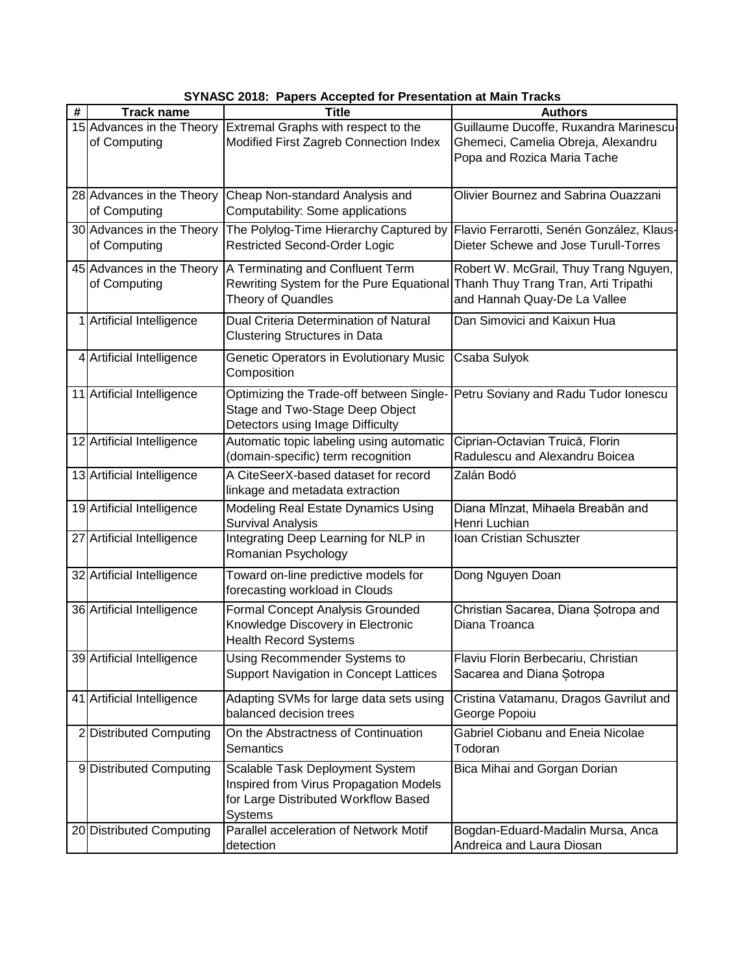| # | <b>Track name</b>          | <b>Title</b>                                                                  | <b>Authors</b>                            |
|---|----------------------------|-------------------------------------------------------------------------------|-------------------------------------------|
|   | 15 Advances in the Theory  | Extremal Graphs with respect to the                                           | Guillaume Ducoffe, Ruxandra Marinescu-    |
|   | of Computing               | Modified First Zagreb Connection Index                                        | Ghemeci, Camelia Obreja, Alexandru        |
|   |                            |                                                                               | Popa and Rozica Maria Tache               |
|   |                            |                                                                               |                                           |
|   |                            |                                                                               |                                           |
|   | 28 Advances in the Theory  | Cheap Non-standard Analysis and                                               | Olivier Bournez and Sabrina Ouazzani      |
|   | of Computing               | Computability: Some applications                                              |                                           |
|   | 30 Advances in the Theory  | The Polylog-Time Hierarchy Captured by                                        | Flavio Ferrarotti, Senén González, Klaus- |
|   | of Computing               | <b>Restricted Second-Order Logic</b>                                          | Dieter Schewe and Jose Turull-Torres      |
|   | 45 Advances in the Theory  | A Terminating and Confluent Term                                              | Robert W. McGrail, Thuy Trang Nguyen,     |
|   | of Computing               | Rewriting System for the Pure Equational Thanh Thuy Trang Tran, Arti Tripathi |                                           |
|   |                            | <b>Theory of Quandles</b>                                                     | and Hannah Quay-De La Vallee              |
|   |                            |                                                                               |                                           |
|   | 1 Artificial Intelligence  | Dual Criteria Determination of Natural                                        | Dan Simovici and Kaixun Hua               |
|   |                            | <b>Clustering Structures in Data</b>                                          |                                           |
|   | 4 Artificial Intelligence  | Genetic Operators in Evolutionary Music                                       | Csaba Sulyok                              |
|   |                            | Composition                                                                   |                                           |
|   | 11 Artificial Intelligence | Optimizing the Trade-off between Single-                                      | Petru Soviany and Radu Tudor Ionescu      |
|   |                            | Stage and Two-Stage Deep Object                                               |                                           |
|   |                            | Detectors using Image Difficulty                                              |                                           |
|   | 12 Artificial Intelligence | Automatic topic labeling using automatic                                      | Ciprian-Octavian Truică, Florin           |
|   |                            | (domain-specific) term recognition                                            | Radulescu and Alexandru Boicea            |
|   |                            |                                                                               |                                           |
|   | 13 Artificial Intelligence | A CiteSeerX-based dataset for record                                          | Zalán Bodó                                |
|   |                            | linkage and metadata extraction                                               |                                           |
|   | 19 Artificial Intelligence | Modeling Real Estate Dynamics Using                                           | Diana Mînzat, Mihaela Breabăn and         |
|   |                            | <b>Survival Analysis</b>                                                      | Henri Luchian                             |
|   | 27 Artificial Intelligence | Integrating Deep Learning for NLP in                                          | Ioan Cristian Schuszter                   |
|   |                            | Romanian Psychology                                                           |                                           |
|   | 32 Artificial Intelligence | Toward on-line predictive models for                                          | Dong Nguyen Doan                          |
|   |                            | forecasting workload in Clouds                                                |                                           |
|   | 36 Artificial Intelligence | Formal Concept Analysis Grounded                                              | Christian Sacarea, Diana Sotropa and      |
|   |                            | Knowledge Discovery in Electronic                                             | Diana Troanca                             |
|   |                            | <b>Health Record Systems</b>                                                  |                                           |
|   | 39 Artificial Intelligence | Using Recommender Systems to                                                  | Flaviu Florin Berbecariu, Christian       |
|   |                            | <b>Support Navigation in Concept Lattices</b>                                 | Sacarea and Diana Sotropa                 |
|   |                            |                                                                               |                                           |
|   | 41 Artificial Intelligence | Adapting SVMs for large data sets using                                       | Cristina Vatamanu, Dragos Gavrilut and    |
|   |                            | balanced decision trees                                                       | George Popoiu                             |
|   | 2 Distributed Computing    | On the Abstractness of Continuation                                           | Gabriel Ciobanu and Eneia Nicolae         |
|   |                            | Semantics                                                                     | Todoran                                   |
|   | 9 Distributed Computing    | Scalable Task Deployment System                                               | Bica Mihai and Gorgan Dorian              |
|   |                            | Inspired from Virus Propagation Models                                        |                                           |
|   |                            | for Large Distributed Workflow Based                                          |                                           |
|   |                            | <b>Systems</b>                                                                |                                           |
|   | 20 Distributed Computing   | Parallel acceleration of Network Motif                                        | Bogdan-Eduard-Madalin Mursa, Anca         |
|   |                            | detection                                                                     | Andreica and Laura Diosan                 |

**SYNASC 2018: Papers Accepted for Presentation at Main Tracks**